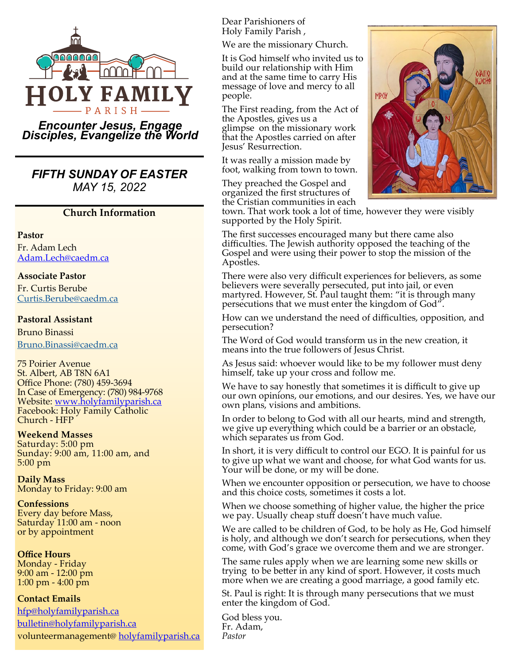

### *Encounter Jesus, Engage Disciples, Evangelize the World*

## *FIFTH SUNDAY OF EASTER MAY 15, 2022*

### **Church Information**

#### **Pastor**

Fr. Adam Lech [Adam.Lech@caedm.ca](mailto:Adam.Lech@caedm.ca)

### **Associate Pastor**

Fr. Curtis Berube [Curtis.Berube@caedm.ca](mailto:Curtis.Berube@caedm.ca)

#### **Pastoral Assistant**

Bruno Binassi [Bruno.Binassi@caedm.ca](mailto:Bruno.Binassi@caedm.ca)

75 Poirier Avenue St. Albert, AB T8N 6A1 Office Phone: (780) 459-3694 In Case of Emergency: (780) 984-9768 Website: [www.holyfamilyparish.ca](http://www.holyfamilyparish.ca) Facebook: Holy Family Catholic Church - HFP

### **Weekend Masses**

Saturday: 5:00 pm Sunday: 9:00 am, 11:00 am, and 5:00 pm

**Daily Mass** Monday to Friday: 9:00 am

**Confessions** Every day before Mass, Saturday 11:00 am - noon or by appointment

**Office Hours** Monday - Friday 9:00 am - 12:00 pm 1:00 pm - 4:00 pm

### **Contact Emails**

[hfp@holyfamilyparish.ca](mailto:hfp@holyfamilyparish.ca) [bulletin@holyfamilyparish.ca](mailto:bulletin@holyfamilyparish.ca) volunteermanagement@ [holyfamilyparish.ca](http://holyfamilyparish.ca) Dear Parishioners of Holy Family Parish ,

We are the missionary Church.

It is God himself who invited us to build our relationship with Him and at the same time to carry His message of love and mercy to all people.

The First reading, from the Act of the Apostles, gives us a glimpse on the missionary work that the Apostles carried on after Jesus' Resurrection.

It was really a mission made by foot, walking from town to town.

They preached the Gospel and organized the first structures of



the Cristian communities in each town. That work took a lot of time, however they were visibly supported by the Holy Spirit.

The first successes encouraged many but there came also difficulties. The Jewish authority opposed the teaching of the Gospel and were using their power to stop the mission of the Apostles.

There were also very difficult experiences for believers, as some believers were severally persecuted, put into jail, or even martyred. However, St. Paul taught them: "it is through many persecutions that we must enter the kingdom of God".

How can we understand the need of difficulties, opposition, and persecution?

The Word of God would transform us in the new creation, it means into the true followers of Jesus Christ.

As Jesus said: whoever would like to be my follower must deny himself, take up your cross and follow me.

We have to say honestly that sometimes it is difficult to give up our own opinions, our emotions, and our desires. Yes, we have our own plans, visions and ambitions.

In order to belong to God with all our hearts, mind and strength, we give up everything which could be a barrier or an obstacle, which separates us from God.

In short, it is very difficult to control our EGO. It is painful for us to give up what we want and choose, for what God wants for us. Your will be done, or my will be done.

When we encounter opposition or persecution, we have to choose and this choice costs, sometimes it costs a lot.

When we choose something of higher value, the higher the price we pay. Usually cheap stuff doesn't have much value.

We are called to be children of God, to be holy as He, God himself is holy, and although we don't search for persecutions, when they come, with God's grace we overcome them and we are stronger.

The same rules apply when we are learning some new skills or trying to be better in any kind of sport. However, it costs much more when we are creating a good marriage, a good family etc.

St. Paul is right: It is through many persecutions that we must enter the kingdom of God.

God bless you. Fr. Adam, *Pastor*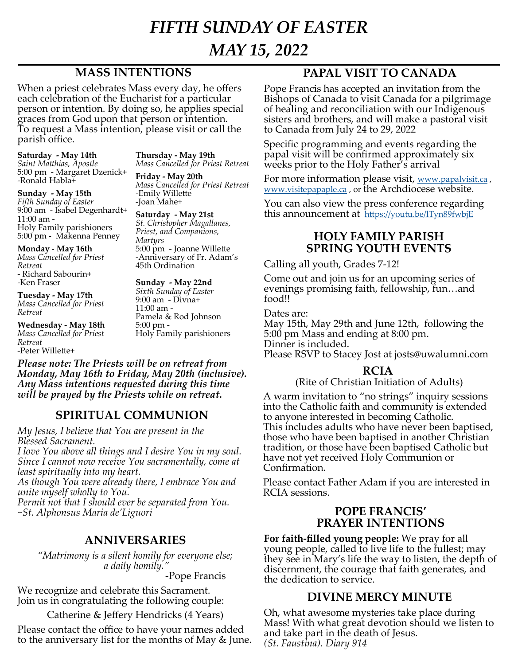# *FIFTH SUNDAY OF EASTER MAY 15, 2022*

## **MASS INTENTIONS**

When a priest celebrates Mass every day, he offers each celebration of the Eucharist for a particular person or intention. By doing so, he applies special graces from God upon that person or intention. To request a Mass intention, please visit or call the parish office.

**Saturday - May 14th** *Saint Matthias, Apostle* 5:00 pm - Margaret Dzenick+ -Ronald Habla+

**Sunday - May 15th** *Fifth Sunday of Easter* 9:00 am - Isabel Degenhardt+ 11:00 am - Holy Family parishioners 5:00 pm - Makenna Penney

**Monday - May 16th** *Mass Cancelled for Priest Retreat* - Richard Sabourin+ -Ken Fraser

**Tuesday - May 17th** *Mass Cancelled for Priest Retreat*

**Wednesday - May 18th** *Mass Cancelled for Priest Retreat -*Peter Willette+

**Thursday - May 19th** *Mass Cancelled for Priest Retreat*

**Friday - May 20th** *Mass Cancelled for Priest Retreat* -Emily Willette -Joan Mahe+

**Saturday - May 21st** *St. Christopher Magallanes, Priest, and Companions, Martyrs* 5:00 pm - Joanne Willette -Anniversary of Fr. Adam's 45th Ordination

**Sunday - May 22nd** *Sixth Sunday of Easter* 9:00 am - Divna+ 11:00 am - Pamela & Rod Johnson

Holy Family parishioners

5:00 pm -

*Please note: The Priests will be on retreat from Monday, May 16th to Friday, May 20th (inclusive). Any Mass intentions requested during this time will be prayed by the Priests while on retreat.* 

## **SPIRITUAL COMMUNION**

*My Jesus, I believe that You are present in the Blessed Sacrament.*

*I love You above all things and I desire You in my soul. Since I cannot now receive You sacramentally, come at least spiritually into my heart.* 

*As though You were already there, I embrace You and unite myself wholly to You.*

*Permit not that I should ever be separated from You. ~St. Alphonsus Maria de'Liguori*

## **ANNIVERSARIES**

*"Matrimony is a silent homily for everyone else; a daily homily."* 

-Pope Francis

We recognize and celebrate this Sacrament. Join us in congratulating the following couple:

Catherine & Jeffery Hendricks (4 Years)

Please contact the office to have your names added to the anniversary list for the months of May & June.

## **PAPAL VISIT TO CANADA**

Pope Francis has accepted an invitation from the Bishops of Canada to visit Canada for a pilgrimage of healing and reconciliation with our Indigenous sisters and brothers, and will make a pastoral visit to Canada from July 24 to 29, 2022

Specific programming and events regarding the papal visit will be confirmed approximately six weeks prior to the Holy Father's arrival

For more information please visit, [www.papalvisit.ca](http://www.papalvisit.ca/), [www.visitepapaple.ca](http://www.visitepapaple.ca/) , or the Archdiocese website.

You can also view the press conference regarding this announcement at <https://youtu.be/lTyn89fwbjE>

## **HOLY FAMILY PARISH SPRING YOUTH EVENTS**

Calling all youth, Grades 7-12!

Come out and join us for an upcoming series of evenings promising faith, fellowship, fun…and food!!

Dates are:

May 15th, May 29th and June 12th, following the 5:00 pm Mass and ending at 8:00 pm.

Dinner is included.

Please RSVP to Stacey Jost at josts@uwalumni.com

## **RCIA**

### (Rite of Christian Initiation of Adults)

A warm invitation to "no strings" inquiry sessions into the Catholic faith and community is extended to anyone interested in becoming Catholic. This includes adults who have never been baptised, those who have been baptised in another Christian tradition, or those have been baptised Catholic but have not yet received Holy Communion or Confirmation.

Please contact Father Adam if you are interested in RCIA sessions.

### **POPE FRANCIS' PRAYER INTENTIONS**

**For faith-filled young people:** We pray for all young people, called to live life to the fullest; may they see in Mary's life the way to listen, the depth of discernment, the courage that faith generates, and the dedication to service.

## **DIVINE MERCY MINUTE**

Oh, what awesome mysteries take place during Mass! With what great devotion should we listen to and take part in the death of Jesus. *(St. Faustina). Diary 914*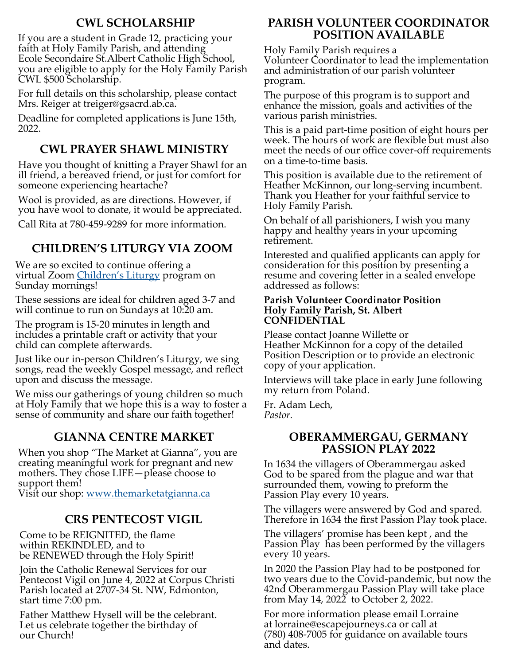## **CWL SCHOLARSHIP**

If you are a student in Grade 12, practicing your faith at Holy Family Parish, and attending Ecole Secondaire St.Albert Catholic High School, you are eligible to apply for the Holy Family Parish CWL \$500 Scholarship.

For full details on this scholarship, please contact Mrs. Reiger at treiger@gsacrd.ab.ca.

Deadline for completed applications is June 15th, 2022.

## **CWL PRAYER SHAWL MINISTRY**

Have you thought of knitting a Prayer Shawl for an ill friend, a bereaved friend, or just for comfort for someone experiencing heartache?

Wool is provided, as are directions. However, if you have wool to donate, it would be appreciated.

Call Rita at 780-459-9289 for more information.

## **CHILDREN'S LITURGY VIA ZOOM**

We are so excited to continue offering a virtual Zoom Children'[s Liturgy](https://sites.google.com/view/holyfamilychildrensliturgy/home) program on Sunday mornings!

These sessions are ideal for children aged 3-7 and will continue to run on Sundays at 10:20 am.

The program is 15-20 minutes in length and includes a printable craft or activity that your child can complete afterwards.

Just like our in-person Children's Liturgy, we sing songs, read the weekly Gospel message, and reflect upon and discuss the message.

We miss our gatherings of young children so much at Holy Family that we hope this is a way to foster a sense of community and share our faith together!

## **GIANNA CENTRE MARKET**

When you shop "The Market at Gianna", you are creating meaningful work for pregnant and new mothers. They chose LIFE—please choose to support them!

Visit our shop: [www.themarketatgianna.ca](https://www.themarketatgianna.ca/)

## **CRS PENTECOST VIGIL**

Come to be REIGNITED, the flame within REKINDLED, and to be RENEWED through the Holy Spirit!

Join the Catholic Renewal Services for our Pentecost Vigil on June 4, 2022 at Corpus Christi Parish located at 2707-34 St. NW, Edmonton, start time 7:00 pm.

Father Matthew Hysell will be the celebrant. Let us celebrate together the birthday of our Church!

## **PARISH VOLUNTEER COORDINATOR POSITION AVAILABLE**

Holy Family Parish requires a

Volunteer Coordinator to lead the implementation and administration of our parish volunteer program.

The purpose of this program is to support and enhance the mission, goals and activities of the various parish ministries.

This is a paid part-time position of eight hours per week. The hours of work are flexible but must also meet the needs of our office cover-off requirements on a time-to-time basis.

This position is available due to the retirement of Heather McKinnon, our long-serving incumbent. Thank you Heather for your faithful service to Holy Family Parish.

On behalf of all parishioners, I wish you many happy and healthy years in your upcoming retirement.

Interested and qualified applicants can apply for consideration for this position by presenting a resume and covering letter in a sealed envelope addressed as follows:

### **Parish Volunteer Coordinator Position Holy Family Parish, St. Albert CONFIDENTIAL**

Please contact Joanne Willette or Heather McKinnon for a copy of the detailed Position Description or to provide an electronic copy of your application.

Interviews will take place in early June following my return from Poland.

Fr. Adam Lech, *Pastor.*

### **OBERAMMERGAU, GERMANY PASSION PLAY 2022**

In 1634 the villagers of Oberammergau asked God to be spared from the plague and war that surrounded them, vowing to preform the Passion Play every 10 years.

The villagers were answered by God and spared. Therefore in 1634 the first Passion Play took place.

The villagers' promise has been kept , and the Passion Play has been performed by the villagers every 10 years.

In 2020 the Passion Play had to be postponed for two years due to the Covid-pandemic, but now the 42nd Oberammergau Passion Play will take place from May 14, 2022 to October 2, 2022.

For more information please email Lorraine at lorraine@escapejourneys.ca or call at (780) 408-7005 for guidance on available tours and dates.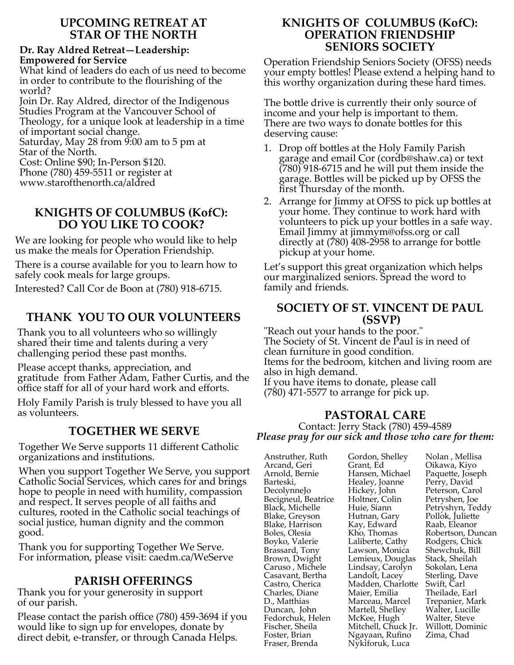### **UPCOMING RETREAT AT STAR OF THE NORTH**

### **Dr. Ray Aldred Retreat—Leadership: Empowered for Service**

What kind of leaders do each of us need to become in order to contribute to the flourishing of the world?

Join Dr. Ray Aldred, director of the Indigenous Studies Program at the Vancouver School of Theology, for a unique look at leadership in a time of important social change.

Saturday, May 28 from 9:00 am to 5 pm at Star of the North.

Cost: Online \$90; In-Person \$120.

Phone (780) 459-5511 or register at

www.starofthenorth.ca/aldred

## **KNIGHTS OF COLUMBUS (KofC): DO YOU LIKE TO COOK?**

We are looking for people who would like to help us make the meals for Operation Friendship.

There is a course available for you to learn how to safely cook meals for large groups.

Interested? Call Cor de Boon at (780) 918-6715.

## **THANK YOU TO OUR VOLUNTEERS**

Thank you to all volunteers who so willingly shared their time and talents during a very challenging period these past months.

Please accept thanks, appreciation, and gratitude from Father Adam, Father Curtis, and the office staff for all of your hard work and efforts.

Holy Family Parish is truly blessed to have you all as volunteers.

## **TOGETHER WE SERVE**

Together We Serve supports 11 different Catholic organizations and institutions.

When you support Together We Serve, you support Catholic Social Services, which cares for and brings hope to people in need with humility, compassion and respect. It serves people of all faiths and cultures, rooted in the Catholic social teachings of social justice, human dignity and the common good.

Thank you for supporting Together We Serve. For information, please visit: caedm.ca/WeServe

## **PARISH OFFERINGS**

Thank you for your generosity in support of our parish.

Please contact the parish office (780) 459-3694 if you would like to sign up for envelopes, donate by direct debit, e-transfer, or through Canada Helps.

## **KNIGHTS OF COLUMBUS (KofC): OPERATION FRIENDSHIP SENIORS SOCIETY**

Operation Friendship Seniors Society (OFSS) needs your empty bottles! Please extend a helping hand to this worthy organization during these hard times.

The bottle drive is currently their only source of income and your help is important to them. There are two ways to donate bottles for this deserving cause:

- 1. Drop off bottles at the Holy Family Parish garage and email Cor (cordb@shaw.ca) or text (780) 918-6715 and he will put them inside the garage. Bottles will be picked up by OFSS the first Thursday of the month.
- 2. Arrange for Jimmy at OFSS to pick up bottles at your home. They continue to work hard with volunteers to pick up your bottles in a safe way. Email Jimmy at jimmym@ofss.org or call directly at (780) 408-2958 to arrange for bottle pickup at your home.

Let's support this great organization which helps our marginalized seniors. Spread the word to family and friends.

## **SOCIETY OF ST. VINCENT DE PAUL (SSVP)**

"Reach out your hands to the poor." The Society of St. Vincent de Paul is in need of clean furniture in good condition. Items for the bedroom, kitchen and living room are also in high demand. If you have items to donate, please call (780) 471-5577 to arrange for pick up.

## **PASTORAL CARE**

Contact: Jerry Stack (780) 459-4589 *Please pray for our sick and those who care for them:*

Anstruther, Ruth Arcand, Geri Arnold, Bernie Barteski, DecolynneJo Becigneul, Beatrice Black, Michelle Blake, Greyson Blake, Harrison Boles, Olesia Boyko, Valerie Brassard, Tony Brown, Dwight Caruso , Michele Casavant, Bertha Castro, Cherica Charles, Diane D., Matthias Duncan, John Fedorchuk, Helen Fischer, Sheila Foster, Brian Fraser, Brenda

Gordon, Shelley Grant, Ed Hansen, Michael Healey, Joanne Hickey, John Holtner, Colin Huie, Siann Hutnan, Gary Kay, Edward Kho, Thomas Laliberte, Cathy Lawson, Monica Lemieux, Douglas Lindsay, Carolyn Landolt, Lacey Madden, Charlotte Maier, Emilia Marceau, Marcel Martell, Shelley McKee, Hugh Mitchell, Chuck Jr. Ngayaan, Rufino Nykiforuk, Luca

Nolan , Mellisa Oikawa, Kiyo Paquette, Joseph Perry, David Peterson, Carol Petryshen, Joe Petryshyn, Teddy Pollok, Juliette Raab, Eleanor Robertson, Duncan Rodgers, Chick Shewchuk, Bill Stack, Sheilah Sokolan, Lena Sterling, Dave Swift, Carl Theilade, Earl Trepanier, Mark Walter, Lucille Walter, Steve Willott, Dominic Zima, Chad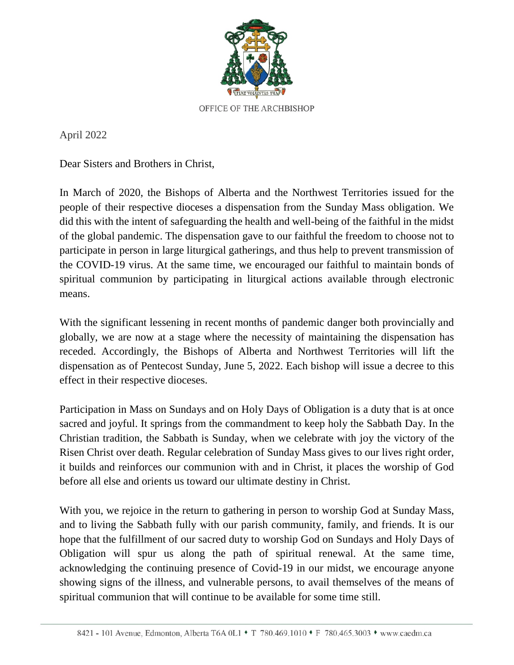

April 2022

Dear Sisters and Brothers in Christ,

In March of 2020, the Bishops of Alberta and the Northwest Territories issued for the people of their respective dioceses a dispensation from the Sunday Mass obligation. We did this with the intent of safeguarding the health and well-being of the faithful in the midst of the global pandemic. The dispensation gave to our faithful the freedom to choose not to participate in person in large liturgical gatherings, and thus help to prevent transmission of the COVID-19 virus. At the same time, we encouraged our faithful to maintain bonds of spiritual communion by participating in liturgical actions available through electronic means.

With the significant lessening in recent months of pandemic danger both provincially and globally, we are now at a stage where the necessity of maintaining the dispensation has receded. Accordingly, the Bishops of Alberta and Northwest Territories will lift the dispensation as of Pentecost Sunday, June 5, 2022. Each bishop will issue a decree to this effect in their respective dioceses.

Participation in Mass on Sundays and on Holy Days of Obligation is a duty that is at once sacred and joyful. It springs from the commandment to keep holy the Sabbath Day. In the Christian tradition, the Sabbath is Sunday, when we celebrate with joy the victory of the Risen Christ over death. Regular celebration of Sunday Mass gives to our lives right order, it builds and reinforces our communion with and in Christ, it places the worship of God before all else and orients us toward our ultimate destiny in Christ.

With you, we rejoice in the return to gathering in person to worship God at Sunday Mass, and to living the Sabbath fully with our parish community, family, and friends. It is our hope that the fulfillment of our sacred duty to worship God on Sundays and Holy Days of Obligation will spur us along the path of spiritual renewal. At the same time, acknowledging the continuing presence of Covid-19 in our midst, we encourage anyone showing signs of the illness, and vulnerable persons, to avail themselves of the means of spiritual communion that will continue to be available for some time still.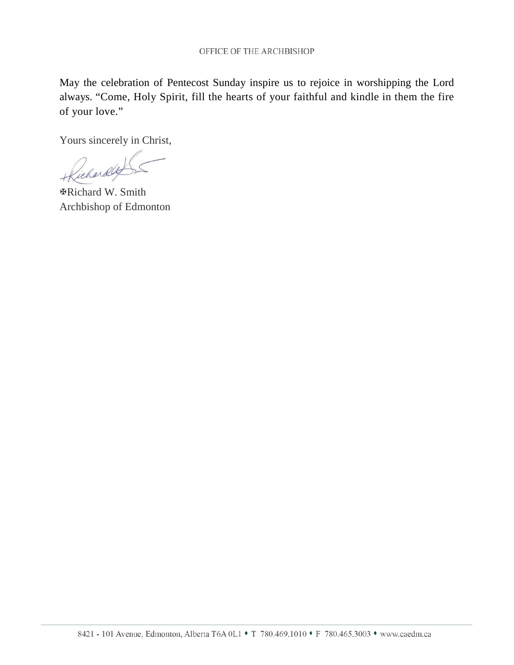May the celebration of Pentecost Sunday inspire us to rejoice in worshipping the Lord always. "Come, Holy Spirit, fill the hearts of your faithful and kindle in them the fire of your love."

Yours sincerely in Christ,

Jichardly

"Richard W. Smith Archbishop of Edmonton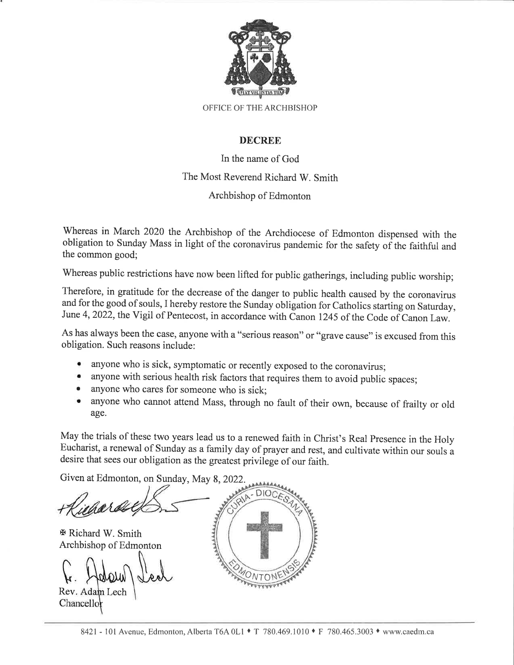

### **DECREE**

In the name of God The Most Reverend Richard W. Smith Archbishop of Edmonton

Whereas in March 2020 the Archbishop of the Archdiocese of Edmonton dispensed with the obligation to Sunday Mass in light of the coronavirus pandemic for the safety of the faithful and the common good;

Whereas public restrictions have now been lifted for public gatherings, including public worship;

Therefore, in gratitude for the decrease of the danger to public health caused by the coronavirus and for the good of souls, I hereby restore the Sunday obligation for Catholics starting on Saturday, June 4, 2022, the Vigil of Pentecost, in accordance with Canon 1245 of the Code of Canon Law.

As has always been the case, anyone with a "serious reason" or "grave cause" is excused from this obligation. Such reasons include:

- anyone who is sick, symptomatic or recently exposed to the coronavirus;
- anyone with serious health risk factors that requires them to avoid public spaces;
- anyone who cares for someone who is sick:
- · anyone who cannot attend Mass, through no fault of their own, because of frailty or old age.

May the trials of these two years lead us to a renewed faith in Christ's Real Presence in the Holy Eucharist, a renewal of Sunday as a family day of prayer and rest, and cultivate within our souls a desire that sees our obligation as the greatest privilege of our faith.

Given at Edmonton, on Sunday, May 8, 2022.

 $\Phi$  Richard W. Smith Archbishop of Edmonton

Rev. Adam Lech Chancellor